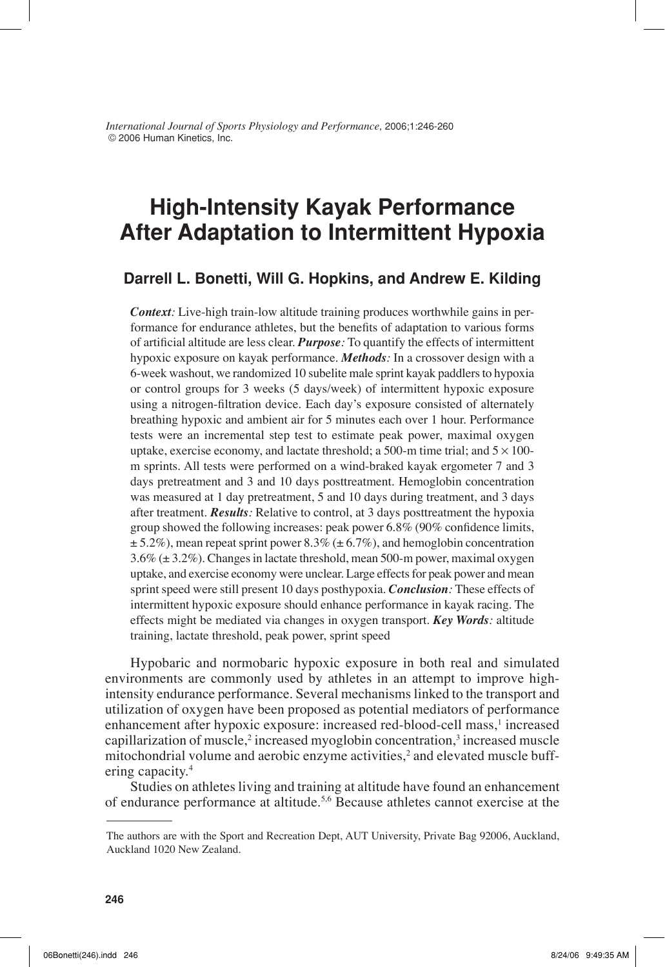*International Journal of Sports Physiology and Performance,* 2006;1:246-260 © 2006 Human Kinetics, Inc.

# **High-Intensity Kayak Performance After Adaptation to Intermittent Hypoxia**

### **Darrell L. Bonetti, Will G. Hopkins, and Andrew E. Kilding**

*Context:* Live-high train-low altitude training produces worthwhile gains in performance for endurance athletes, but the benefits of adaptation to various forms of artificial altitude are less clear. *Purpose*: To quantify the effects of intermittent hypoxic exposure on kayak performance. *Methods:* In a crossover design with a 6-week washout, we randomized 10 subelite male sprint kayak paddlers to hypoxia or control groups for 3 weeks (5 days/week) of intermittent hypoxic exposure using a nitrogen-filtration device. Each day's exposure consisted of alternately breathing hypoxic and ambient air for 5 minutes each over 1 hour. Performance tests were an incremental step test to estimate peak power, maximal oxygen uptake, exercise economy, and lactate threshold; a 500-m time trial; and  $5 \times 100$ m sprints. All tests were performed on a wind-braked kayak ergometer 7 and 3 days pretreatment and 3 and 10 days posttreatment. Hemoglobin concentration was measured at 1 day pretreatment, 5 and 10 days during treatment, and 3 days after treatment. *Results:* Relative to control, at 3 days posttreatment the hypoxia group showed the following increases: peak power  $6.8\%$  (90% confidence limits,  $\pm$  5.2%), mean repeat sprint power 8.3% ( $\pm$  6.7%), and hemoglobin concentration 3.6% (± 3.2%). Changes in lactate threshold, mean 500-m power, maximal oxygen uptake, and exercise economy were unclear. Large effects for peak power and mean sprint speed were still present 10 days posthypoxia. *Conclusion:* These effects of intermittent hypoxic exposure should enhance performance in kayak racing. The effects might be mediated via changes in oxygen transport. *Key Words:* altitude training, lactate threshold, peak power, sprint speed

Hypobaric and normobaric hypoxic exposure in both real and simulated environments are commonly used by athletes in an attempt to improve highintensity endurance performance. Several mechanisms linked to the transport and utilization of oxygen have been proposed as potential mediators of performance enhancement after hypoxic exposure: increased red-blood-cell mass,<sup>1</sup> increased capillarization of muscle,<sup>2</sup> increased myoglobin concentration,<sup>3</sup> increased muscle mitochondrial volume and aerobic enzyme activities,<sup>2</sup> and elevated muscle buffering capacity.<sup>4</sup>

Studies on athletes living and training at altitude have found an enhancement of endurance performance at altitude.<sup>5,6</sup> Because athletes cannot exercise at the

The authors are with the Sport and Recreation Dept, AUT University, Private Bag 92006, Auckland, Auckland 1020 New Zealand.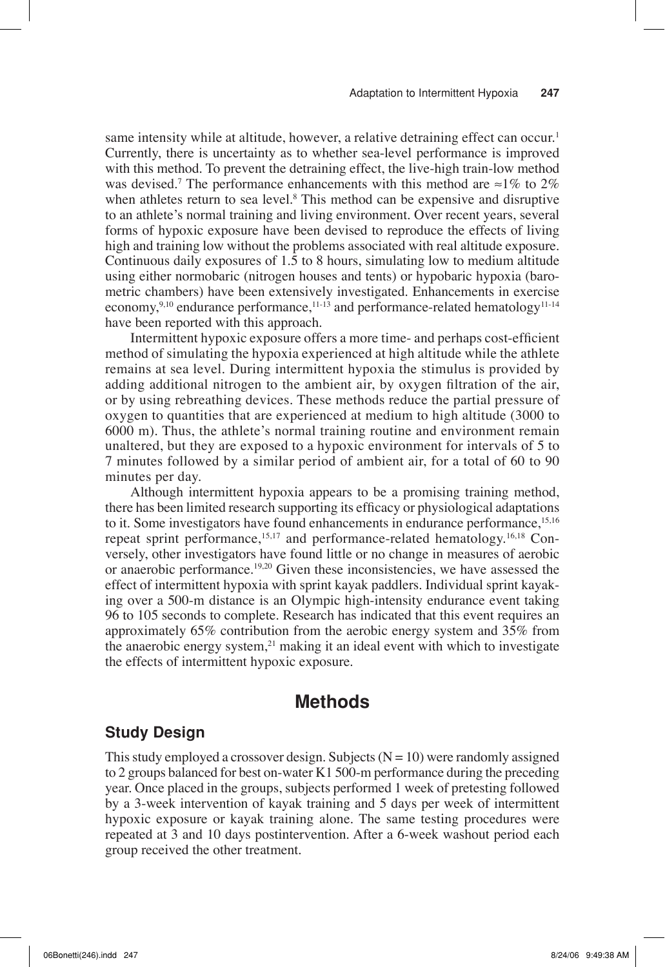same intensity while at altitude, however, a relative detraining effect can occur.<sup>1</sup> Currently, there is uncertainty as to whether sea-level performance is improved with this method. To prevent the detraining effect, the live-high train-low method was devised.<sup>7</sup> The performance enhancements with this method are  $\approx$ 1% to 2% when athletes return to sea level.<sup>8</sup> This method can be expensive and disruptive to an athlete's normal training and living environment. Over recent years, several forms of hypoxic exposure have been devised to reproduce the effects of living high and training low without the problems associated with real altitude exposure. Continuous daily exposures of 1.5 to 8 hours, simulating low to medium altitude using either normobaric (nitrogen houses and tents) or hypobaric hypoxia (barometric chambers) have been extensively investigated. Enhancements in exercise economy,<sup>9,10</sup> endurance performance,<sup>11-13</sup> and performance-related hematology<sup>11-14</sup> have been reported with this approach.

Intermittent hypoxic exposure offers a more time- and perhaps cost-efficient method of simulating the hypoxia experienced at high altitude while the athlete remains at sea level. During intermittent hypoxia the stimulus is provided by adding additional nitrogen to the ambient air, by oxygen filtration of the air, or by using rebreathing devices. These methods reduce the partial pressure of oxygen to quantities that are experienced at medium to high altitude (3000 to 6000 m). Thus, the athlete's normal training routine and environment remain unaltered, but they are exposed to a hypoxic environment for intervals of 5 to 7 minutes followed by a similar period of ambient air, for a total of 60 to 90 minutes per day.

Although intermittent hypoxia appears to be a promising training method, there has been limited research supporting its efficacy or physiological adaptations to it. Some investigators have found enhancements in endurance performance,<sup>15,16</sup> repeat sprint performance,15,17 and performance-related hematology.16,18 Conversely, other investigators have found little or no change in measures of aerobic or anaerobic performance.19,20 Given these inconsistencies, we have assessed the effect of intermittent hypoxia with sprint kayak paddlers. Individual sprint kayaking over a 500-m distance is an Olympic high-intensity endurance event taking 96 to 105 seconds to complete. Research has indicated that this event requires an approximately 65% contribution from the aerobic energy system and 35% from the anaerobic energy system, $21$  making it an ideal event with which to investigate the effects of intermittent hypoxic exposure.

## **Methods**

## **Study Design**

This study employed a crossover design. Subjects  $(N = 10)$  were randomly assigned to 2 groups balanced for best on-water K1 500-m performance during the preceding year. Once placed in the groups, subjects performed 1 week of pretesting followed by a 3-week intervention of kayak training and 5 days per week of intermittent hypoxic exposure or kayak training alone. The same testing procedures were repeated at 3 and 10 days postintervention. After a 6-week washout period each group received the other treatment.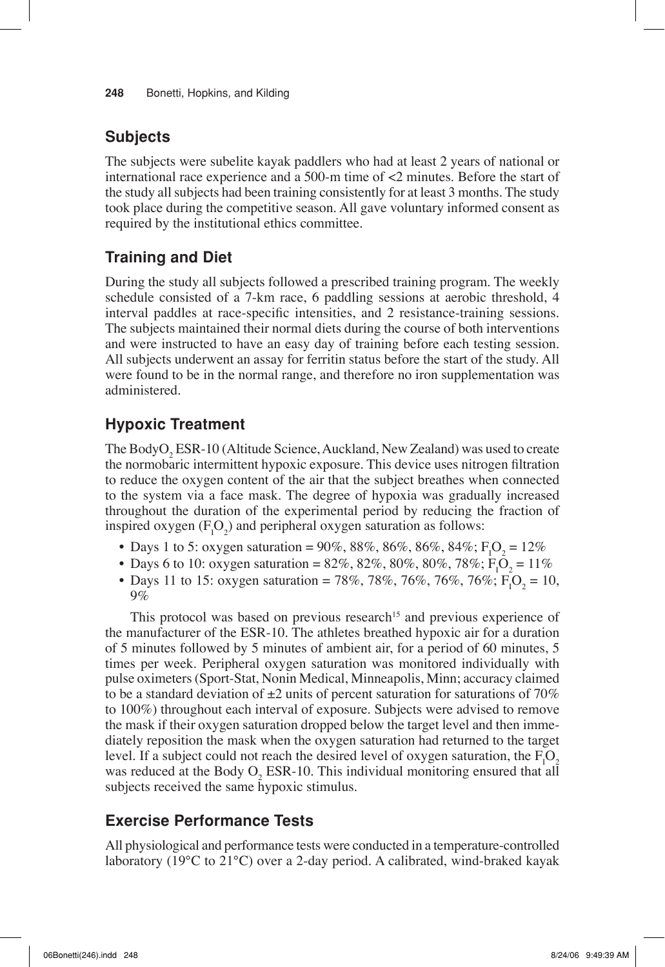## **Subjects**

The subjects were subelite kayak paddlers who had at least 2 years of national or international race experience and a 500-m time of <2 minutes. Before the start of the study all subjects had been training consistently for at least 3 months. The study took place during the competitive season. All gave voluntary informed consent as required by the institutional ethics committee.

## **Training and Diet**

During the study all subjects followed a prescribed training program. The weekly schedule consisted of a 7-km race, 6 paddling sessions at aerobic threshold, 4 interval paddles at race-specific intensities, and 2 resistance-training sessions. The subjects maintained their normal diets during the course of both interventions and were instructed to have an easy day of training before each testing session. All subjects underwent an assay for ferritin status before the start of the study. All were found to be in the normal range, and therefore no iron supplementation was administered.

## **Hypoxic Treatment**

The BodyO<sub>2</sub> ESR-10 (Altitude Science, Auckland, New Zealand) was used to create the normobaric intermittent hypoxic exposure. This device uses nitrogen filtration to reduce the oxygen content of the air that the subject breathes when connected to the system via a face mask. The degree of hypoxia was gradually increased throughout the duration of the experimental period by reducing the fraction of inspired oxygen  $(F_1O_2)$  and peripheral oxygen saturation as follows:

- Days 1 to 5: oxygen saturation = 90%, 88%, 86%, 86%, 84%;  $F_1O_2 = 12\%$
- Days 6 to 10: oxygen saturation = 82%, 82%, 80%, 80%, 78%;  $F_1O_2 = 11\%$
- Days 11 to 15: oxygen saturation = 78%, 78%, 76%, 76%, 76%;  $F_1O_2 = 10$ , 9%

This protocol was based on previous research<sup>15</sup> and previous experience of the manufacturer of the ESR-10. The athletes breathed hypoxic air for a duration of 5 minutes followed by 5 minutes of ambient air, for a period of 60 minutes, 5 times per week. Peripheral oxygen saturation was monitored individually with pulse oximeters (Sport-Stat, Nonin Medical, Minneapolis, Minn; accuracy claimed to be a standard deviation of  $\pm 2$  units of percent saturation for saturations of 70% to 100%) throughout each interval of exposure. Subjects were advised to remove the mask if their oxygen saturation dropped below the target level and then immediately reposition the mask when the oxygen saturation had returned to the target level. If a subject could not reach the desired level of oxygen saturation, the  $F_1O_2$ was reduced at the Body  $O_2$  ESR-10. This individual monitoring ensured that all subjects received the same hypoxic stimulus.

## **Exercise Performance Tests**

All physiological and performance tests were conducted in a temperature-controlled laboratory (19°C to 21°C) over a 2-day period. A calibrated, wind-braked kayak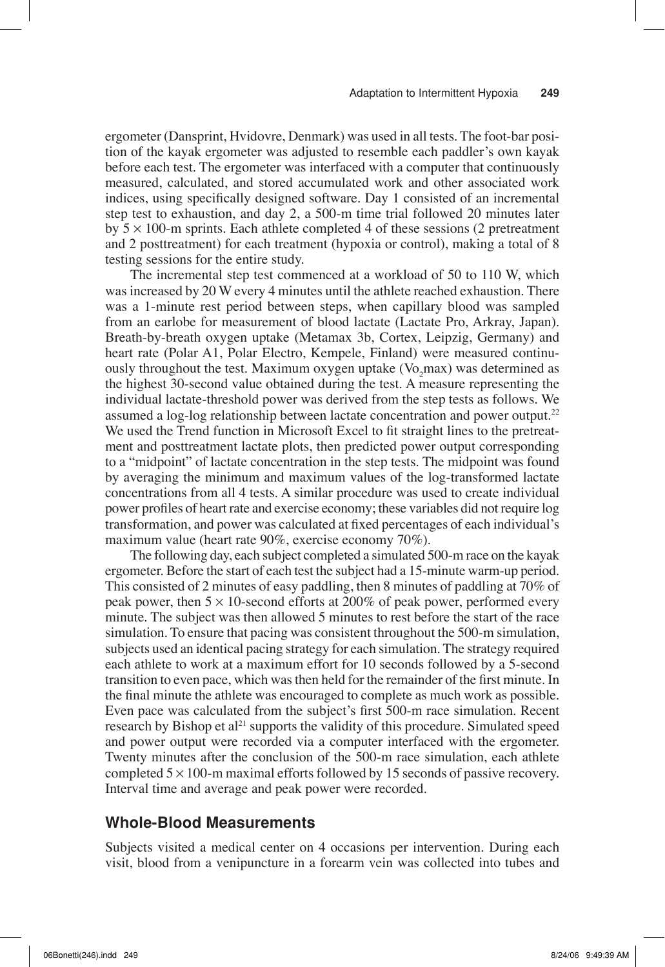ergometer (Dansprint, Hvidovre, Denmark) was used in all tests. The foot-bar position of the kayak ergometer was adjusted to resemble each paddler's own kayak before each test. The ergometer was interfaced with a computer that continuously measured, calculated, and stored accumulated work and other associated work indices, using specifically designed software. Day 1 consisted of an incremental step test to exhaustion, and day 2, a 500-m time trial followed 20 minutes later by  $5 \times 100$ -m sprints. Each athlete completed 4 of these sessions (2 pretreatment and 2 posttreatment) for each treatment (hypoxia or control), making a total of 8 testing sessions for the entire study.

The incremental step test commenced at a workload of 50 to 110 W, which was increased by 20 W every 4 minutes until the athlete reached exhaustion. There was a 1-minute rest period between steps, when capillary blood was sampled from an earlobe for measurement of blood lactate (Lactate Pro, Arkray, Japan). Breath-by-breath oxygen uptake (Metamax 3b, Cortex, Leipzig, Germany) and heart rate (Polar A1, Polar Electro, Kempele, Finland) were measured continuously throughout the test. Maximum oxygen uptake (Vo<sub>2</sub>max) was determined as the highest 30-second value obtained during the test. A measure representing the individual lactate-threshold power was derived from the step tests as follows. We assumed a log-log relationship between lactate concentration and power output.<sup>22</sup> We used the Trend function in Microsoft Excel to fit straight lines to the pretreatment and posttreatment lactate plots, then predicted power output corresponding to a "midpoint" of lactate concentration in the step tests. The midpoint was found by averaging the minimum and maximum values of the log-transformed lactate concentrations from all 4 tests. A similar procedure was used to create individual power profiles of heart rate and exercise economy; these variables did not require log transformation, and power was calculated at fixed percentages of each individual's maximum value (heart rate 90%, exercise economy 70%).

The following day, each subject completed a simulated 500-m race on the kayak ergometer. Before the start of each test the subject had a 15-minute warm-up period. This consisted of 2 minutes of easy paddling, then 8 minutes of paddling at 70% of peak power, then  $5 \times 10$ -second efforts at 200% of peak power, performed every minute. The subject was then allowed 5 minutes to rest before the start of the race simulation. To ensure that pacing was consistent throughout the 500-m simulation, subjects used an identical pacing strategy for each simulation. The strategy required each athlete to work at a maximum effort for 10 seconds followed by a 5-second transition to even pace, which was then held for the remainder of the first minute. In the final minute the athlete was encouraged to complete as much work as possible. Even pace was calculated from the subject's first 500-m race simulation. Recent research by Bishop et al<sup>21</sup> supports the validity of this procedure. Simulated speed and power output were recorded via a computer interfaced with the ergometer. Twenty minutes after the conclusion of the 500-m race simulation, each athlete completed  $5 \times 100$ -m maximal efforts followed by 15 seconds of passive recovery. Interval time and average and peak power were recorded.

#### **Whole-Blood Measurements**

Subjects visited a medical center on 4 occasions per intervention. During each visit, blood from a venipuncture in a forearm vein was collected into tubes and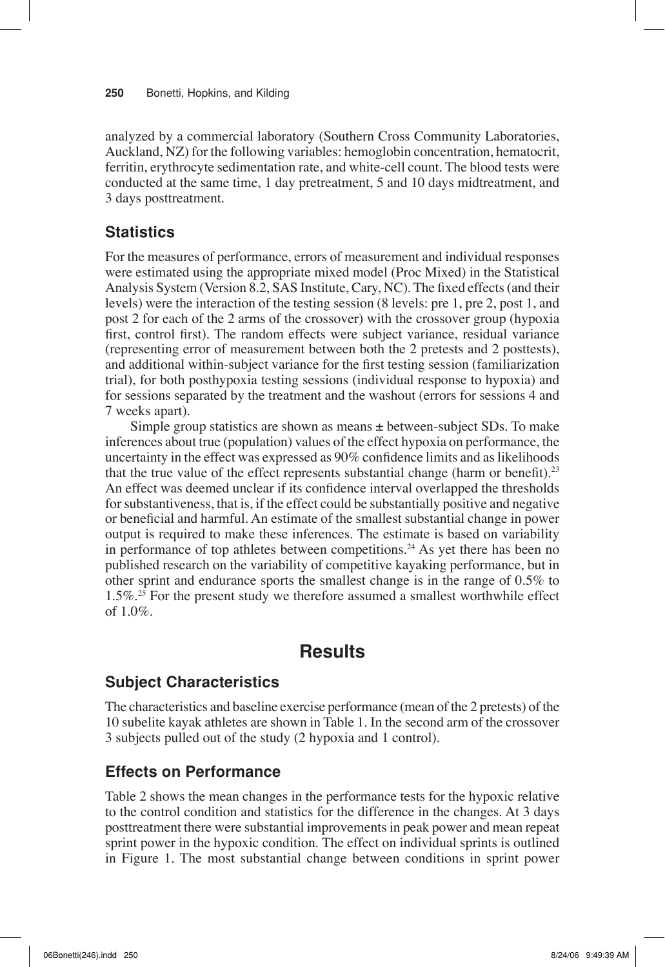analyzed by a commercial laboratory (Southern Cross Community Laboratories, Auckland, NZ) for the following variables: hemoglobin concentration, hematocrit, ferritin, erythrocyte sedimentation rate, and white-cell count. The blood tests were conducted at the same time, 1 day pretreatment, 5 and 10 days midtreatment, and 3 days posttreatment.

## **Statistics**

For the measures of performance, errors of measurement and individual responses were estimated using the appropriate mixed model (Proc Mixed) in the Statistical Analysis System (Version 8.2, SAS Institute, Cary, NC). The fixed effects (and their levels) were the interaction of the testing session (8 levels: pre 1, pre 2, post 1, and post 2 for each of the 2 arms of the crossover) with the crossover group (hypoxia first, control first). The random effects were subject variance, residual variance (representing error of measurement between both the 2 pretests and 2 posttests), and additional within-subject variance for the first testing session (familiarization trial), for both posthypoxia testing sessions (individual response to hypoxia) and for sessions separated by the treatment and the washout (errors for sessions 4 and 7 weeks apart).

Simple group statistics are shown as means  $\pm$  between-subject SDs. To make inferences about true (population) values of the effect hypoxia on performance, the uncertainty in the effect was expressed as  $90\%$  confidence limits and as likelihoods that the true value of the effect represents substantial change (harm or benefit). $^{23}$ An effect was deemed unclear if its confidence interval overlapped the thresholds for substantiveness, that is, if the effect could be substantially positive and negative or beneficial and harmful. An estimate of the smallest substantial change in power output is required to make these inferences. The estimate is based on variability in performance of top athletes between competitions.<sup>24</sup> As yet there has been no published research on the variability of competitive kayaking performance, but in other sprint and endurance sports the smallest change is in the range of 0.5% to 1.5%.<sup>25</sup> For the present study we therefore assumed a smallest worthwhile effect of 1.0%.

## **Results**

## **Subject Characteristics**

The characteristics and baseline exercise performance (mean of the 2 pretests) of the 10 subelite kayak athletes are shown in Table 1. In the second arm of the crossover 3 subjects pulled out of the study (2 hypoxia and 1 control).

## **Effects on Performance**

Table 2 shows the mean changes in the performance tests for the hypoxic relative to the control condition and statistics for the difference in the changes. At 3 days posttreatment there were substantial improvements in peak power and mean repeat sprint power in the hypoxic condition. The effect on individual sprints is outlined in Figure 1. The most substantial change between conditions in sprint power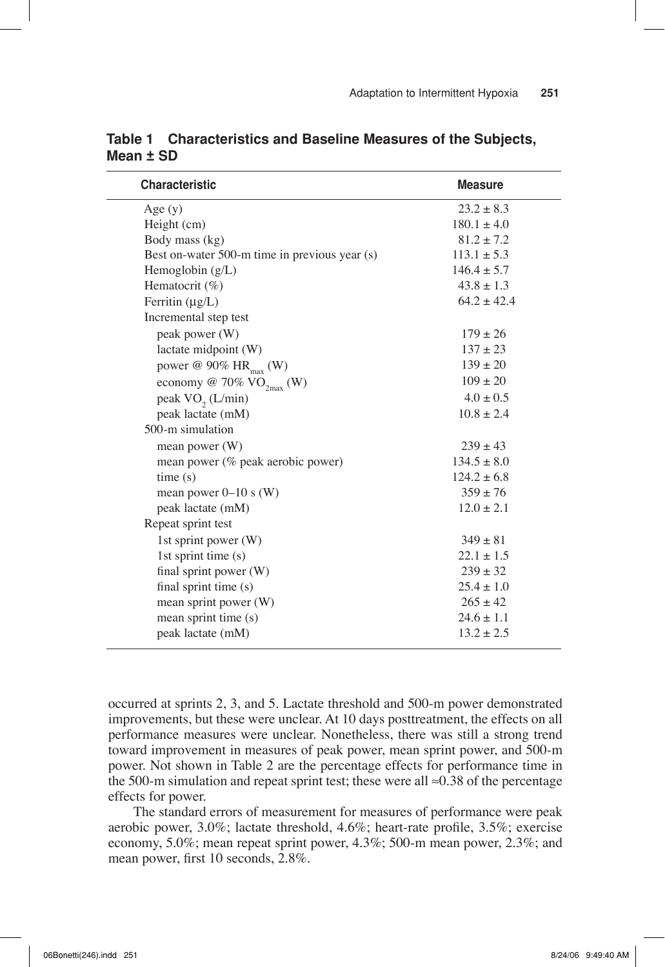| <b>Characteristic</b>                         | <b>Measure</b>  |
|-----------------------------------------------|-----------------|
| Age(y)                                        | $23.2 \pm 8.3$  |
| Height (cm)                                   | $180.1 \pm 4.0$ |
| Body mass (kg)                                | $81.2 \pm 7.2$  |
| Best on-water 500-m time in previous year (s) | $113.1 \pm 5.3$ |
| Hemoglobin $(g/L)$                            | $146.4 \pm 5.7$ |
| Hematocrit $(\% )$                            | $43.8 \pm 1.3$  |
| Ferritin $(\mu g/L)$                          | $64.2 \pm 42.4$ |
| Incremental step test                         |                 |
| peak power (W)                                | $179 \pm 26$    |
| lactate midpoint (W)                          | $137 + 23$      |
| power @ 90% HR <sub>max</sub> (W)             | $139 \pm 20$    |
| economy @ 70% $VO_{2max}$ (W)                 | $109 \pm 20$    |
| peak VO <sub>2</sub> (L/min)                  | $4.0 \pm 0.5$   |
| peak lactate (mM)                             | $10.8 \pm 2.4$  |
| 500-m simulation                              |                 |
| mean power $(W)$                              | $239 \pm 43$    |
| mean power (% peak aerobic power)             | $134.5 \pm 8.0$ |
| time(s)                                       | $124.2 \pm 6.8$ |
| mean power $0-10$ s (W)                       | $359 \pm 76$    |
| peak lactate (mM)                             | $12.0 \pm 2.1$  |
| Repeat sprint test                            |                 |
| 1st sprint power $(W)$                        | $349 \pm 81$    |
| 1st sprint time (s)                           | $22.1 \pm 1.5$  |
| final sprint power (W)                        | $239 \pm 32$    |
| final sprint time (s)                         | $25.4 \pm 1.0$  |
| mean sprint power (W)                         | $265 \pm 42$    |
| mean sprint time (s)                          | $24.6 \pm 1.1$  |
| peak lactate (mM)                             | $13.2 \pm 2.5$  |
|                                               |                 |

**Table 1 Characteristics and Baseline Measures of the Subjects, Mean ± SD**

occurred at sprints 2, 3, and 5. Lactate threshold and 500-m power demonstrated improvements, but these were unclear. At 10 days posttreatment, the effects on all performance measures were unclear. Nonetheless, there was still a strong trend toward improvement in measures of peak power, mean sprint power, and 500-m power. Not shown in Table 2 are the percentage effects for performance time in the 500-m simulation and repeat sprint test; these were all  $\approx 0.38$  of the percentage effects for power.

The standard errors of measurement for measures of performance were peak aerobic power,  $3.0\%$ ; lactate threshold,  $4.6\%$ ; heart-rate profile,  $3.5\%$ ; exercise economy, 5.0%; mean repeat sprint power, 4.3%; 500-m mean power, 2.3%; and mean power, first 10 seconds, 2.8%.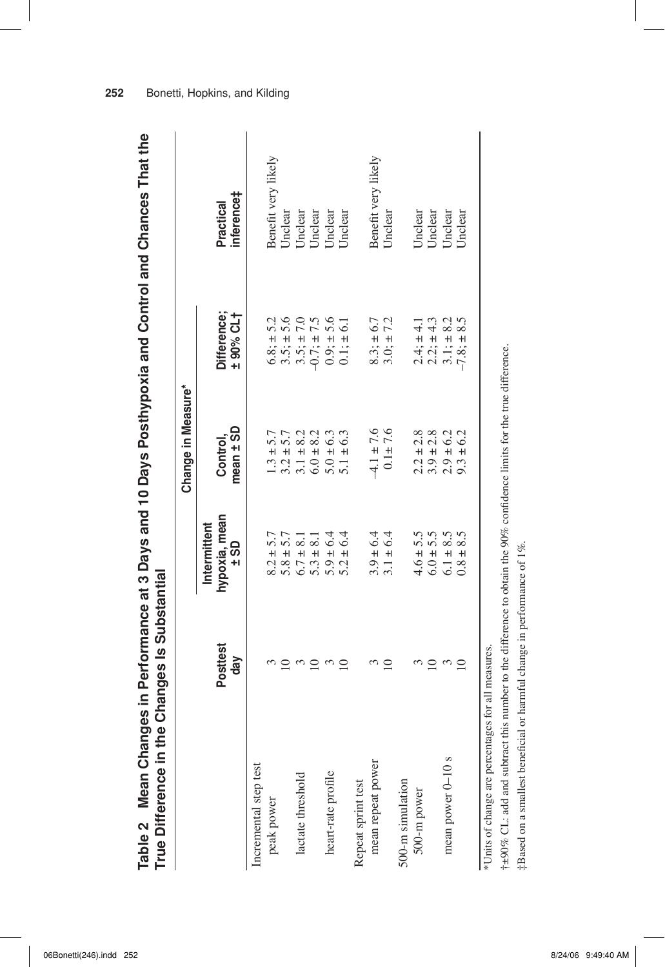| True Difference in    | n the Changes Is Substantial |                                                   |                                |                          | Table 2 Mean Changes in Performance at 3 Days and 10 Days Posthypoxia and Control and Chances That the |
|-----------------------|------------------------------|---------------------------------------------------|--------------------------------|--------------------------|--------------------------------------------------------------------------------------------------------|
|                       |                              |                                                   | Change in Measure*             |                          |                                                                                                        |
|                       | <b>Posttest</b><br>$d$ ay    | hypoxia, mean<br>Intermittent<br>$\frac{1}{1}$ SD | mean ± SD<br>Control,          | Difference:<br>+ 90% CL+ | inference‡<br>Practical                                                                                |
| Incremental step test |                              |                                                   |                                |                          |                                                                                                        |
| peak power            |                              | $8.2 \pm 5.7$                                     | $1.3 \pm 5.7$                  | $6.8; \pm 5.2$           | Benefit very likely                                                                                    |
|                       |                              | $5.8 \pm 5.7$                                     | $3.2 \pm 5.7$                  | $3.5; \pm 5.6$           | Unclear                                                                                                |
| lactate threshold     |                              | $6.7 \pm 8.1$                                     | $3.1 \pm 8.2$                  | $3.5; \pm 7.0$           | Unclear                                                                                                |
|                       | ≘                            | $5.3 \pm 8.1$                                     | $6.0 \pm 8.2$                  | $-0.7; \pm 7.5$          | Unclear                                                                                                |
| heart-rate profile    |                              | $5.9 \pm 6.4$                                     |                                | $0.9; \pm 5.6$           | Unclear                                                                                                |
|                       |                              | $5.2 \pm 6.4$                                     | $5.0 \pm 6.3$<br>$5.1 \pm 6.3$ | $0.1: \pm 6.1$           | Jnclear                                                                                                |
| Repeat sprint test    |                              |                                                   |                                |                          |                                                                                                        |
| mean repeat power     |                              | $3.9 \pm 6.4$                                     | $-4.1 \pm 7.6$                 | $8.3; \pm 6.7$           | Benefit very likely                                                                                    |
|                       |                              | $3.1 \pm 6.4$                                     | $0.1 + 7.6$                    | $3.0; \pm 7.2$           | Unclear                                                                                                |
| 500-m simulation      |                              |                                                   |                                |                          |                                                                                                        |
| 500-m power           |                              | $4.6 \pm 5.5$                                     | $2.2 \pm 2.8$                  | $2.4; \pm 4.1$           | Unclear                                                                                                |
|                       | $\Xi$                        | $6.0 \pm 5.5$                                     | $3.9 \pm 2.8$                  | $2.2; \pm 4.3$           | Unclear                                                                                                |
| mean power 0-10 s     |                              | $6.1 \pm 8.5$                                     | $2.9 \pm 6.2$                  | $3.1: \pm 8.2$           | Unclear                                                                                                |
|                       | $\equiv$                     | $0.8 \pm 8.5$                                     | $9.3 \pm 6.2$                  | $-7.8: \pm 8.5$          | Unclear                                                                                                |

 $+290\%$  CL: add and subtract this number to the difference to obtain the 90% confidence limits for the true difference. † $\pm90\%$  CL: add and subtract this number to the difference to obtain the 90% confidence limits for the true difference. ‡Based on a smallest beneficial or harmful change in performance of 1%.  $\ddagger$ Based on a smallest beneficial or harmful change in performance of 1%. \*Units of change are percentages for all measures. \*Units of change are percentages for all measures.

**252** Bonetti, Hopkins, and Kilding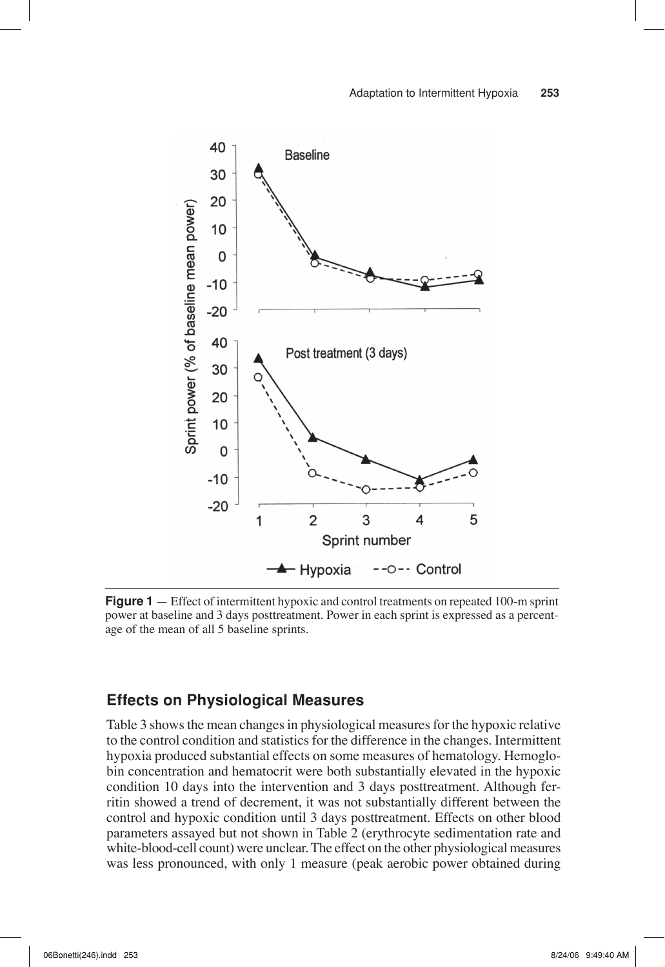

**Figure 1** — Effect of intermittent hypoxic and control treatments on repeated 100-m sprint power at baseline and 3 days posttreatment. Power in each sprint is expressed as a percentage of the mean of all 5 baseline sprints.

## **Effects on Physiological Measures**

Table 3 shows the mean changes in physiological measures for the hypoxic relative to the control condition and statistics for the difference in the changes. Intermittent hypoxia produced substantial effects on some measures of hematology. Hemoglobin concentration and hematocrit were both substantially elevated in the hypoxic condition 10 days into the intervention and 3 days posttreatment. Although ferritin showed a trend of decrement, it was not substantially different between the control and hypoxic condition until 3 days posttreatment. Effects on other blood parameters assayed but not shown in Table 2 (erythrocyte sedimentation rate and white-blood-cell count) were unclear. The effect on the other physiological measures was less pronounced, with only 1 measure (peak aerobic power obtained during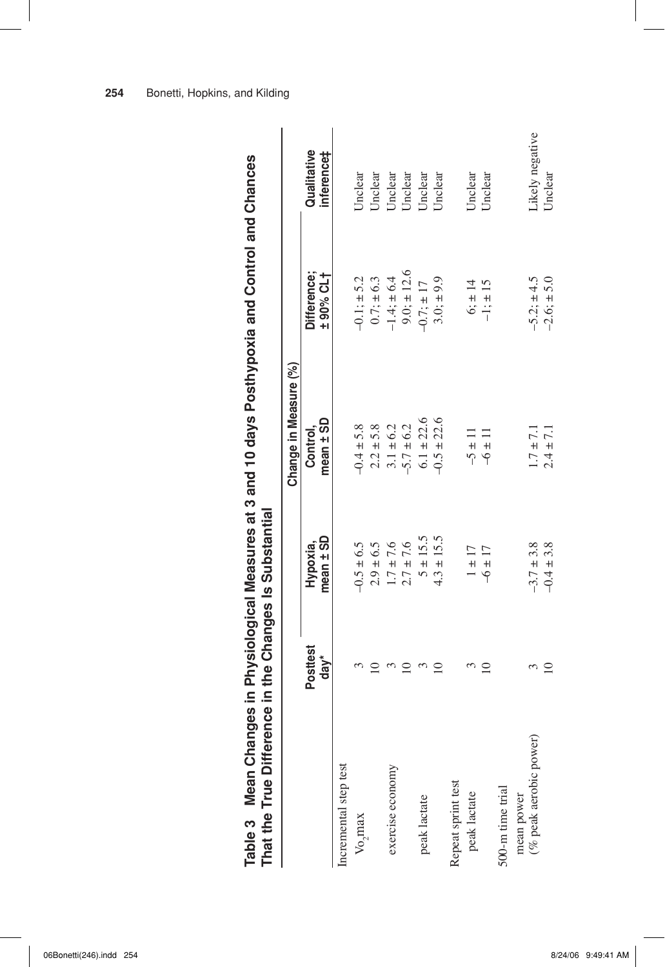| Table 3 Mean Changes in Physiological Measures at 3 and 10 days Posthypoxia and Control and Chances<br>That the True Diff |                                | ference in the Changes Is Substantial |                           |                         |                           |
|---------------------------------------------------------------------------------------------------------------------------|--------------------------------|---------------------------------------|---------------------------|-------------------------|---------------------------|
|                                                                                                                           |                                |                                       | Change in Measure (%)     |                         |                           |
|                                                                                                                           | <b>Posttest</b><br>$d$ a $v^*$ | mean ± SD<br>Hypoxia,                 | $mean \pm SD$<br>Control. | Difference;<br>+90% CL+ | Qualitative<br>inference‡ |
| Incremental step test                                                                                                     |                                |                                       |                           |                         |                           |
| $V_0$ max                                                                                                                 |                                | $-0.5 \pm 6.5$                        | $-0.4 \pm 5.8$            | $-0.1; \pm 5.2$         | Unclear                   |
|                                                                                                                           |                                | $2.9 \pm 6.5$                         | $2.2 \pm 5.8$             | $0.7; \pm 6.3$          | Unclear                   |
| exercise economy                                                                                                          |                                | $1.7 \pm 7.6$                         | $3.1 \pm 6.2$             | $-1.4; \pm 6.4$         | Jnclear                   |
|                                                                                                                           |                                | $2.7 \pm 7.6$                         | $-5.7 \pm 6.2$            | $9.0; \pm 12.6$         | Jnclear                   |
| peak lactate                                                                                                              |                                | $5 \pm 15.5$                          | $6.1 \pm 22.6$            | $-0.7; \pm 17$          | Unclear                   |
|                                                                                                                           |                                | $4.3 \pm 15.5$                        | $-0.5 \pm 22.6$           | $3.0; \pm 9.9$          | Jnclear                   |
| Repeat sprint test                                                                                                        |                                |                                       |                           |                         |                           |
| peak lactate                                                                                                              |                                | $1 \pm 17$                            | $-5 \pm 11$               | $6: \pm 14$             | <b>Jnclear</b>            |
|                                                                                                                           |                                | $-6 \pm 17$                           | $-6 \pm 11$               | $-1; \pm 15$            | Jnclear                   |
| 500-m time trial                                                                                                          |                                |                                       |                           |                         |                           |
| mean power                                                                                                                |                                |                                       |                           |                         |                           |
| (% peak aerobic power)                                                                                                    |                                | $-3.7 \pm 3.8$                        | $1.7 \pm 7.1$             | $-5.2: \pm 4.5$         | Likely negative           |
|                                                                                                                           | $\Xi$                          | $-0.4 \pm 3.8$                        | $2.4 \pm 7.1$             | $-2.6; \pm 5.0$         | Unclear                   |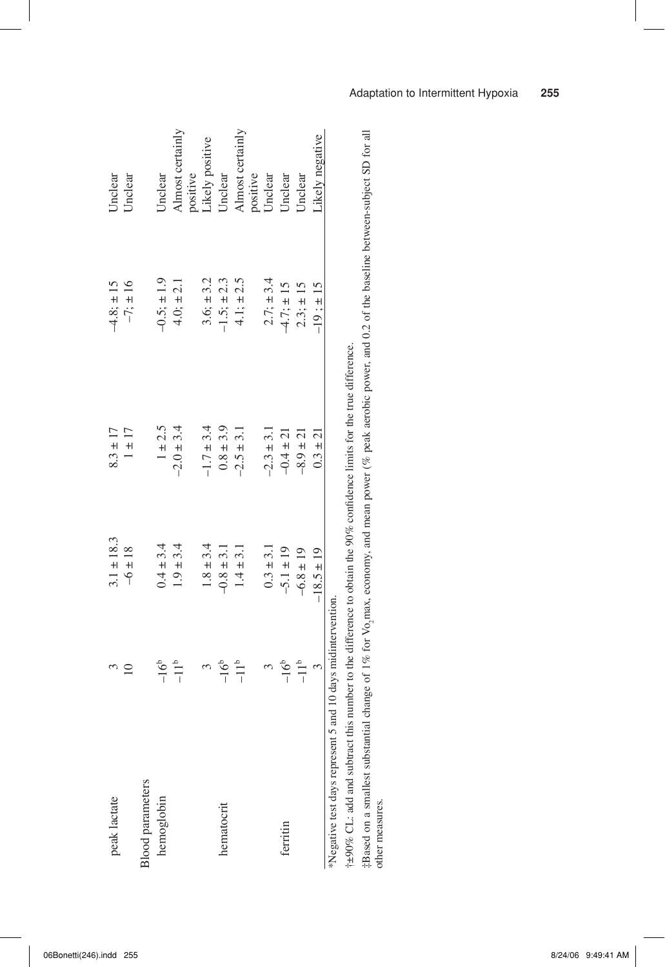| peak lactate                                               |               | $3.1 \pm 18.3$ | $8.3 \pm 17$   | $-4.8; \pm 15$  | Jnclear             |
|------------------------------------------------------------|---------------|----------------|----------------|-----------------|---------------------|
|                                                            |               | $-6 \pm 18$    | $1 \pm 17$     | $-7; \pm 16$    | Jnclear             |
| <b>Slood</b> parameters                                    |               |                |                |                 |                     |
| hemoglobin                                                 | -16°          | $0.4 \pm 3.4$  | $1 \pm 2.5$    | $-0.5; \pm 1.9$ | Jnclear             |
|                                                            | $-11^{\circ}$ | $1.9 \pm 3.4$  | $-2.0 \pm 3.4$ | $4.0; \pm 2.1$  | Almost certainly    |
|                                                            |               |                |                |                 | positive            |
|                                                            |               | $1.8 \pm 3.4$  | $-1.7 \pm 3.4$ | $3.6; \pm 3.2$  | Likely positive     |
| hematocrit                                                 | $-16^{b}$     | $-0.8 \pm 3.1$ | $0.8\pm3.9$    | $-1.5; \pm 2.3$ | Jnclear             |
|                                                            | $-11b$        | $1.4 \pm 3.1$  | $-2.5 \pm 3.1$ | $4.1: \pm 2.5$  | Almost certainly    |
|                                                            |               |                |                |                 |                     |
|                                                            |               | $0.3 \pm 3.1$  | $-2.3 \pm 3.1$ | $2.7: \pm 3.4$  | positive<br>Unclear |
| ferritin                                                   | $-16b$        | $-5.1 \pm 19$  | $-0.4 \pm 21$  | $-4.7; \pm 15$  | Unclear             |
|                                                            | $-11^b$       | $-6.8 \pm 19$  | $-8.9 \pm 21$  | $2.3; \pm 15$   | Jnclear             |
|                                                            |               | $-18.5 \pm 19$ | $0.3 \pm 21$   | $-19: \pm 15$   | Likely negative     |
| Negative test days represent 5 and 10 days midintervention |               |                |                |                 |                     |

 $+490\%$  CL: add and subtract this number to the difference to obtain the 90% confidence limits for the true difference. †±90% CL: add and subtract this number to the difference to obtain the 90% confi dence limits for the true difference.

‡Based on a smallest substantial change of 1% for Vo max, economy, and mean power (% peak aerobic power, and 0.2 of the baseline between-subject SD for all  $\sim$ other measures.

#### Adaptation to Intermittent Hypoxia **255**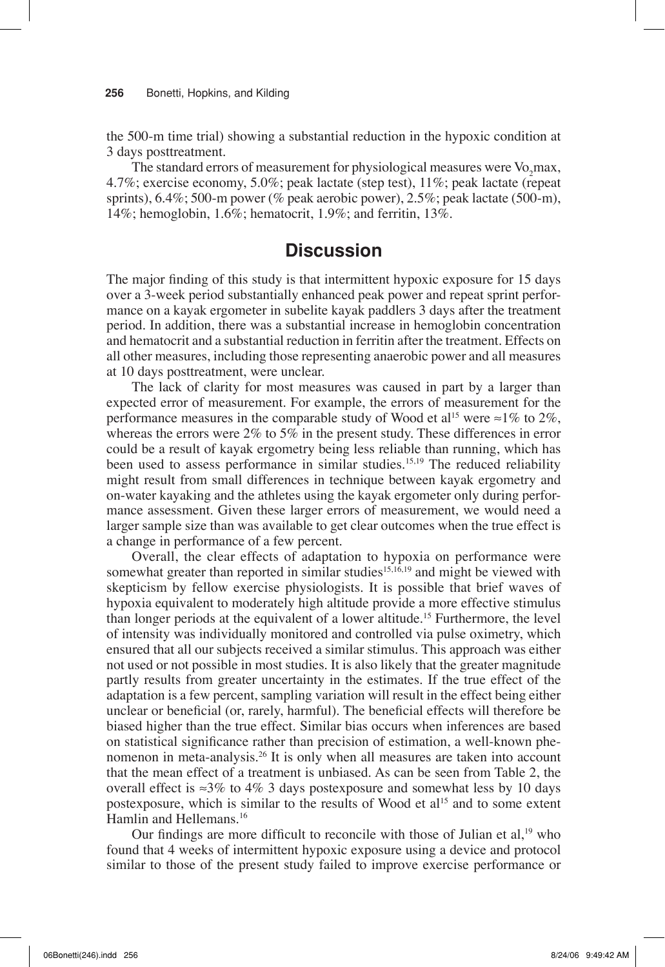#### **256** Bonetti, Hopkins, and Kilding

the 500-m time trial) showing a substantial reduction in the hypoxic condition at 3 days posttreatment.

The standard errors of measurement for physiological measures were  $Vo<sub>2</sub>$  max, 4.7%; exercise economy, 5.0%; peak lactate (step test), 11%; peak lactate (repeat sprints),  $6.4\%$ ;  $500\text{-m}$  power ( $\%$  peak aerobic power),  $2.5\%$ ; peak lactate ( $500\text{-m}$ ), 14%; hemoglobin, 1.6%; hematocrit, 1.9%; and ferritin, 13%.

## **Discussion**

The major finding of this study is that intermittent hypoxic exposure for 15 days over a 3-week period substantially enhanced peak power and repeat sprint performance on a kayak ergometer in subelite kayak paddlers 3 days after the treatment period. In addition, there was a substantial increase in hemoglobin concentration and hematocrit and a substantial reduction in ferritin after the treatment. Effects on all other measures, including those representing anaerobic power and all measures at 10 days posttreatment, were unclear.

The lack of clarity for most measures was caused in part by a larger than expected error of measurement. For example, the errors of measurement for the performance measures in the comparable study of Wood et al<sup>15</sup> were  $\approx$ 1% to 2%, whereas the errors were 2% to 5% in the present study. These differences in error could be a result of kayak ergometry being less reliable than running, which has been used to assess performance in similar studies.<sup>15,19</sup> The reduced reliability might result from small differences in technique between kayak ergometry and on-water kayaking and the athletes using the kayak ergometer only during performance assessment. Given these larger errors of measurement, we would need a larger sample size than was available to get clear outcomes when the true effect is a change in performance of a few percent.

Overall, the clear effects of adaptation to hypoxia on performance were somewhat greater than reported in similar studies $15,16,19$  and might be viewed with skepticism by fellow exercise physiologists. It is possible that brief waves of hypoxia equivalent to moderately high altitude provide a more effective stimulus than longer periods at the equivalent of a lower altitude.15 Furthermore, the level of intensity was individually monitored and controlled via pulse oximetry, which ensured that all our subjects received a similar stimulus. This approach was either not used or not possible in most studies. It is also likely that the greater magnitude partly results from greater uncertainty in the estimates. If the true effect of the adaptation is a few percent, sampling variation will result in the effect being either unclear or beneficial (or, rarely, harmful). The beneficial effects will therefore be biased higher than the true effect. Similar bias occurs when inferences are based on statistical significance rather than precision of estimation, a well-known phenomenon in meta-analysis.<sup>26</sup> It is only when all measures are taken into account that the mean effect of a treatment is unbiased. As can be seen from Table 2, the overall effect is  $\approx 3\%$  to 4% 3 days postexposure and somewhat less by 10 days postexposure, which is similar to the results of Wood et al<sup>15</sup> and to some extent Hamlin and Hellemans.<sup>16</sup>

Our findings are more difficult to reconcile with those of Julian et al, $19$  who found that 4 weeks of intermittent hypoxic exposure using a device and protocol similar to those of the present study failed to improve exercise performance or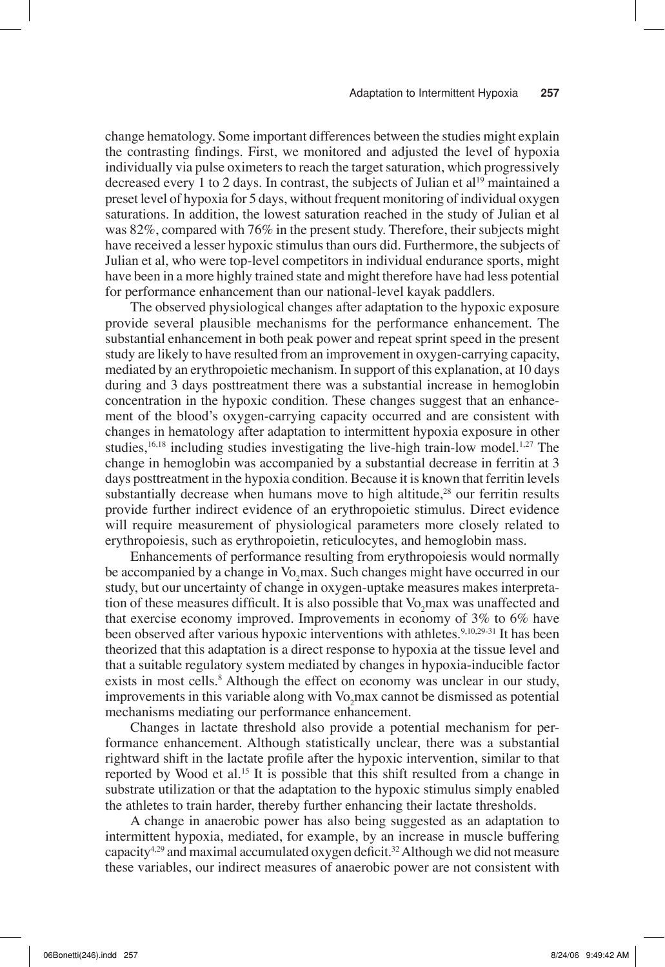change hematology. Some important differences between the studies might explain the contrasting findings. First, we monitored and adjusted the level of hypoxia individually via pulse oximeters to reach the target saturation, which progressively decreased every 1 to 2 days. In contrast, the subjects of Julian et al<sup>19</sup> maintained a preset level of hypoxia for 5 days, without frequent monitoring of individual oxygen saturations. In addition, the lowest saturation reached in the study of Julian et al was 82%, compared with 76% in the present study. Therefore, their subjects might have received a lesser hypoxic stimulus than ours did. Furthermore, the subjects of Julian et al, who were top-level competitors in individual endurance sports, might have been in a more highly trained state and might therefore have had less potential for performance enhancement than our national-level kayak paddlers.

The observed physiological changes after adaptation to the hypoxic exposure provide several plausible mechanisms for the performance enhancement. The substantial enhancement in both peak power and repeat sprint speed in the present study are likely to have resulted from an improvement in oxygen-carrying capacity, mediated by an erythropoietic mechanism. In support of this explanation, at 10 days during and 3 days posttreatment there was a substantial increase in hemoglobin concentration in the hypoxic condition. These changes suggest that an enhancement of the blood's oxygen-carrying capacity occurred and are consistent with changes in hematology after adaptation to intermittent hypoxia exposure in other studies,<sup>16,18</sup> including studies investigating the live-high train-low model.<sup>1,27</sup> The change in hemoglobin was accompanied by a substantial decrease in ferritin at 3 days posttreatment in the hypoxia condition. Because it is known that ferritin levels substantially decrease when humans move to high altitude, $28$  our ferritin results provide further indirect evidence of an erythropoietic stimulus. Direct evidence will require measurement of physiological parameters more closely related to erythropoiesis, such as erythropoietin, reticulocytes, and hemoglobin mass.

Enhancements of performance resulting from erythropoiesis would normally be accompanied by a change in Vo<sub>2</sub>max. Such changes might have occurred in our study, but our uncertainty of change in oxygen-uptake measures makes interpretation of these measures difficult. It is also possible that  $Vo_{2}$  max was unaffected and that exercise economy improved. Improvements in economy of 3% to 6% have been observed after various hypoxic interventions with athletes.<sup>9,10,29-31</sup> It has been theorized that this adaptation is a direct response to hypoxia at the tissue level and that a suitable regulatory system mediated by changes in hypoxia-inducible factor exists in most cells.<sup>8</sup> Although the effect on economy was unclear in our study, improvements in this variable along with  $Vo_2$  max cannot be dismissed as potential mechanisms mediating our performance enhancement.

Changes in lactate threshold also provide a potential mechanism for performance enhancement. Although statistically unclear, there was a substantial rightward shift in the lactate profile after the hypoxic intervention, similar to that reported by Wood et al.15 It is possible that this shift resulted from a change in substrate utilization or that the adaptation to the hypoxic stimulus simply enabled the athletes to train harder, thereby further enhancing their lactate thresholds.

A change in anaerobic power has also being suggested as an adaptation to intermittent hypoxia, mediated, for example, by an increase in muscle buffering capacity<sup>4,29</sup> and maximal accumulated oxygen deficit.<sup>32</sup> Although we did not measure these variables, our indirect measures of anaerobic power are not consistent with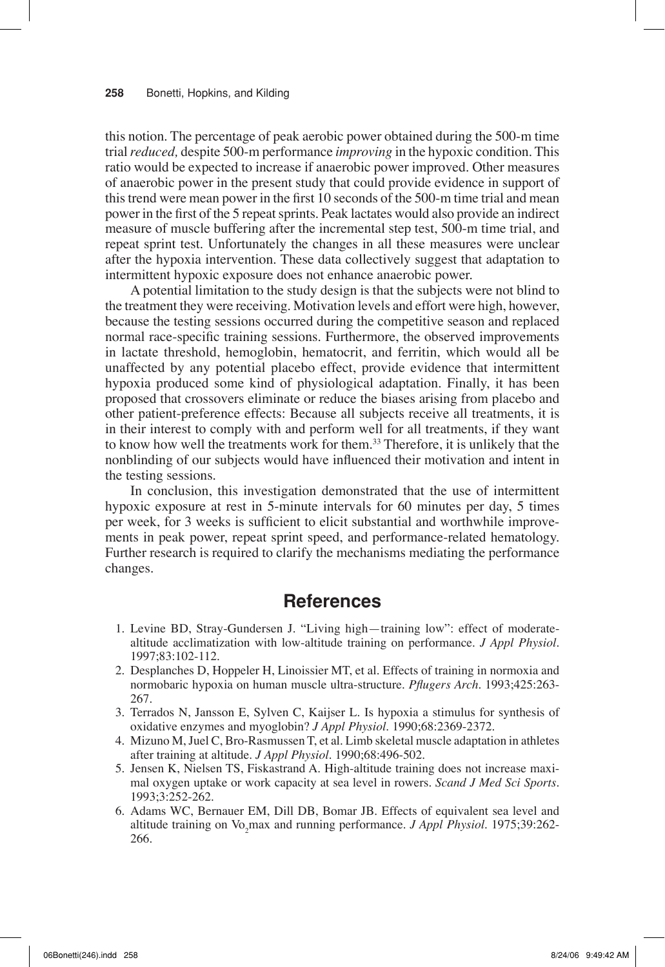this notion. The percentage of peak aerobic power obtained during the 500-m time trial *reduced,* despite 500-m performance *improving* in the hypoxic condition. This ratio would be expected to increase if anaerobic power improved. Other measures of anaerobic power in the present study that could provide evidence in support of this trend were mean power in the first 10 seconds of the 500-m time trial and mean power in the first of the 5 repeat sprints. Peak lactates would also provide an indirect measure of muscle buffering after the incremental step test, 500-m time trial, and repeat sprint test. Unfortunately the changes in all these measures were unclear after the hypoxia intervention. These data collectively suggest that adaptation to intermittent hypoxic exposure does not enhance anaerobic power.

A potential limitation to the study design is that the subjects were not blind to the treatment they were receiving. Motivation levels and effort were high, however, because the testing sessions occurred during the competitive season and replaced normal race-specific training sessions. Furthermore, the observed improvements in lactate threshold, hemoglobin, hematocrit, and ferritin, which would all be unaffected by any potential placebo effect, provide evidence that intermittent hypoxia produced some kind of physiological adaptation. Finally, it has been proposed that crossovers eliminate or reduce the biases arising from placebo and other patient-preference effects: Because all subjects receive all treatments, it is in their interest to comply with and perform well for all treatments, if they want to know how well the treatments work for them.<sup>33</sup> Therefore, it is unlikely that the nonblinding of our subjects would have influenced their motivation and intent in the testing sessions.

In conclusion, this investigation demonstrated that the use of intermittent hypoxic exposure at rest in 5-minute intervals for 60 minutes per day, 5 times per week, for 3 weeks is sufficient to elicit substantial and worthwhile improvements in peak power, repeat sprint speed, and performance-related hematology. Further research is required to clarify the mechanisms mediating the performance changes.

## **References**

- 1. Levine BD, Stray-Gundersen J. "Living high—training low": effect of moderatealtitude acclimatization with low-altitude training on performance. *J Appl Physiol*. 1997;83:102-112.
- 2. Desplanches D, Hoppeler H, Linoissier MT, et al. Effects of training in normoxia and normobaric hypoxia on human muscle ultra-structure. *Pflugers Arch*. 1993;425:263-267.
- 3. Terrados N, Jansson E, Sylven C, Kaijser L. Is hypoxia a stimulus for synthesis of oxidative enzymes and myoglobin? *J Appl Physiol*. 1990;68:2369-2372.
- 4. Mizuno M, Juel C, Bro-Rasmussen T, et al. Limb skeletal muscle adaptation in athletes after training at altitude. *J Appl Physiol*. 1990;68:496-502.
- 5. Jensen K, Nielsen TS, Fiskastrand A. High-altitude training does not increase maximal oxygen uptake or work capacity at sea level in rowers. *Scand J Med Sci Sports*. 1993;3:252-262.
- 6. Adams WC, Bernauer EM, Dill DB, Bomar JB. Effects of equivalent sea level and altitude training on Vo<sub>2</sub>max and running performance. *J Appl Physiol*. 1975;39:262-266.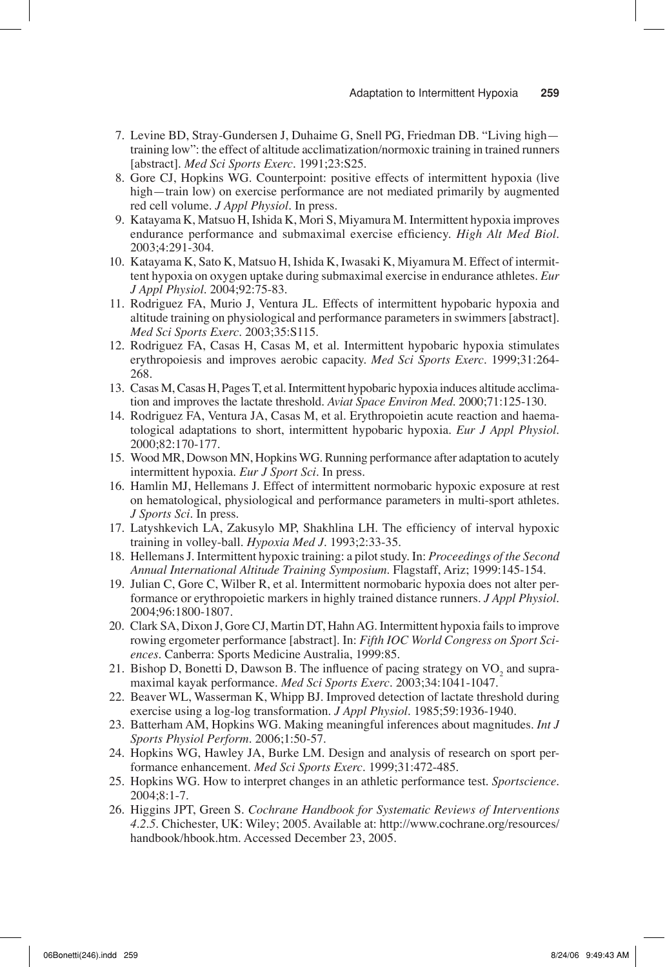- 7. Levine BD, Stray-Gundersen J, Duhaime G, Snell PG, Friedman DB. "Living high training low": the effect of altitude acclimatization/normoxic training in trained runners [abstract]. *Med Sci Sports Exerc*. 1991;23:S25.
- 8. Gore CJ, Hopkins WG. Counterpoint: positive effects of intermittent hypoxia (live high—train low) on exercise performance are not mediated primarily by augmented red cell volume. *J Appl Physiol*. In press.
- 9. Katayama K, Matsuo H, Ishida K, Mori S, Miyamura M. Intermittent hypoxia improves endurance performance and submaximal exercise efficiency. *High Alt Med Biol*. 2003;4:291-304.
- 10. Katayama K, Sato K, Matsuo H, Ishida K, Iwasaki K, Miyamura M. Effect of intermittent hypoxia on oxygen uptake during submaximal exercise in endurance athletes. *Eur J Appl Physiol*. 2004;92:75-83.
- 11. Rodriguez FA, Murio J, Ventura JL. Effects of intermittent hypobaric hypoxia and altitude training on physiological and performance parameters in swimmers [abstract]. *Med Sci Sports Exerc*. 2003;35:S115.
- 12. Rodriguez FA, Casas H, Casas M, et al. Intermittent hypobaric hypoxia stimulates erythropoiesis and improves aerobic capacity. *Med Sci Sports Exerc*. 1999;31:264- 268.
- 13. Casas M, Casas H, Pages T, et al. Intermittent hypobaric hypoxia induces altitude acclimation and improves the lactate threshold. *Aviat Space Environ Med*. 2000;71:125-130.
- 14. Rodriguez FA, Ventura JA, Casas M, et al. Erythropoietin acute reaction and haematological adaptations to short, intermittent hypobaric hypoxia. *Eur J Appl Physiol*. 2000;82:170-177.
- 15. Wood MR, Dowson MN, Hopkins WG. Running performance after adaptation to acutely intermittent hypoxia. *Eur J Sport Sci*. In press.
- 16. Hamlin MJ, Hellemans J. Effect of intermittent normobaric hypoxic exposure at rest on hematological, physiological and performance parameters in multi-sport athletes. *J Sports Sci*. In press.
- 17. Latyshkevich LA, Zakusylo MP, Shakhlina LH. The efficiency of interval hypoxic training in volley-ball. *Hypoxia Med J*. 1993;2:33-35.
- 18. Hellemans J. Intermittent hypoxic training: a pilot study. In: *Proceedings of the Second Annual International Altitude Training Symposium*. Flagstaff, Ariz; 1999:145-154.
- 19. Julian C, Gore C, Wilber R, et al. Intermittent normobaric hypoxia does not alter performance or erythropoietic markers in highly trained distance runners. *J Appl Physiol*. 2004;96:1800-1807.
- 20. Clark SA, Dixon J, Gore CJ, Martin DT, Hahn AG. Intermittent hypoxia fails to improve rowing ergometer performance [abstract]. In: *Fifth IOC World Congress on Sport Sciences*. Canberra: Sports Medicine Australia, 1999:85.
- 21. Bishop D, Bonetti D, Dawson B. The influence of pacing strategy on  $VO<sub>2</sub>$  and supramaximal kayak performance. *Med Sci Sports Exerc*. 2003;34:1041-1047.
- 22. Beaver WL, Wasserman K, Whipp BJ. Improved detection of lactate threshold during exercise using a log-log transformation. *J Appl Physiol*. 1985;59:1936-1940.
- 23. Batterham AM, Hopkins WG. Making meaningful inferences about magnitudes. *Int J Sports Physiol Perform*. 2006;1:50-57.
- 24. Hopkins WG, Hawley JA, Burke LM. Design and analysis of research on sport performance enhancement. *Med Sci Sports Exerc*. 1999;31:472-485.
- 25. Hopkins WG. How to interpret changes in an athletic performance test. *Sportscience*. 2004;8:1-7.
- 26. Higgins JPT, Green S. *Cochrane Handbook for Systematic Reviews of Interventions 4.2.5*. Chichester, UK: Wiley; 2005. Available at: http://www.cochrane.org/resources/ handbook/hbook.htm. Accessed December 23, 2005.